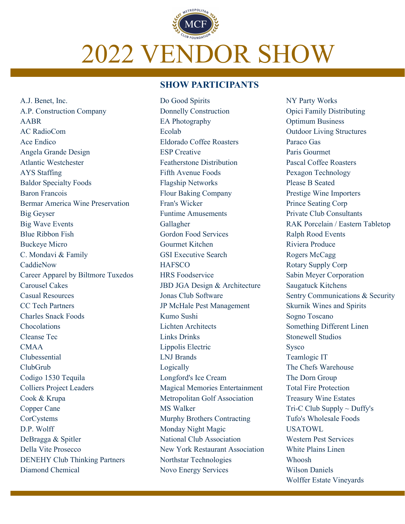# 2022 VENDOR SHOW

# **SHOW PARTICIPANTS**

A.J. Benet, Inc. A.P. Construction Company AABR AC RadioCom Ace Endico Angela Grande Design Atlantic Westchester AYS Staffing Baldor Specialty Foods Baron Francois Bermar America Wine Preservation Big Geyser Big Wave Events Blue Ribbon Fish Buckeye Micro C. Mondavi & Family CaddieNow Career Apparel by Biltmore Tuxedos Carousel Cakes Casual Resources CC Tech Partners Charles Snack Foods Chocolations Cleanse Tec CMAA Clubessential ClubGrub Codigo 1530 Tequila Colliers Project Leaders Cook & Krupa Copper Cane CorCystems D.P. Wolff DeBragga & Spitler Della Vite Prosecco DENEHY Club Thinking Partners Diamond Chemical

Do Good Spirits Donnelly Construction EA Photography Ecolab Eldorado Coffee Roasters ESP Creative Featherstone Distribution Fifth Avenue Foods Flagship Networks Flour Baking Company Fran's Wicker Funtime Amusements Gallagher Gordon Food Services Gourmet Kitchen GSI Executive Search **HAFSCO** HRS Foodservice JBD JGA Design & Architecture Jonas Club Software JP McHale Pest Management Kumo Sushi Lichten Architects Links Drinks Lippolis Electric LNJ Brands Logically Longford's Ice Cream Magical Memories Entertainment Metropolitan Golf Association MS Walker Murphy Brothers Contracting Monday Night Magic National Club Association New York Restaurant Association Northstar Technologies Novo Energy Services

NY Party Works Opici Family Distributing Optimum Business Outdoor Living Structures Paraco Gas Paris Gourmet Pascal Coffee Roasters Pexagon Technology Please B Seated Prestige Wine Importers Prince Seating Corp Private Club Consultants RAK Porcelain / Eastern Tabletop Ralph Rood Events Riviera Produce Rogers McCagg Rotary Supply Corp Sabin Meyer Corporation Saugatuck Kitchens Sentry Communications & Security Skurnik Wines and Spirits Sogno Toscano Something Different Linen Stonewell Studios Sysco Teamlogic IT The Chefs Warehouse The Dorn Group Total Fire Protection Treasury Wine Estates Tri-C Club Supply  $\sim$  Duffy's Tufo's Wholesale Foods USATOWL Western Pest Services White Plains Linen Whoosh Wilson Daniels Wolffer Estate Vineyards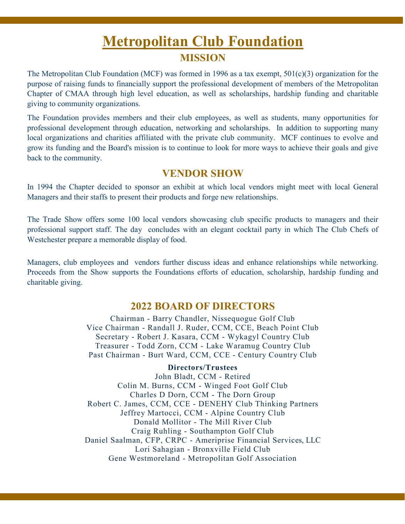# **Metropolitan Club Foundation MISSION**

The Metropolitan Club Foundation (MCF) was formed in 1996 as a tax exempt, 501(c)(3) organization for the purpose of raising funds to financially support the professional development of members of the Metropolitan Chapter of CMAA through high level education, as well as scholarships, hardship funding and charitable giving to community organizations.

The Foundation provides members and their club employees, as well as students, many opportunities for professional development through education, networking and scholarships. In addition to supporting many local organizations and charities affiliated with the private club community. MCF continues to evolve and grow its funding and the Board's mission is to continue to look for more ways to achieve their goals and give back to the community.

# **VENDOR SHOW**

In 1994 the Chapter decided to sponsor an exhibit at which local vendors might meet with local General Managers and their staffs to present their products and forge new relationships.

The Trade Show offers some 100 local vendors showcasing club specific products to managers and their professional support staff. The day concludes with an elegant cocktail party in which The Club Chefs of Westchester prepare a memorable display of food.

Managers, club employees and vendors further discuss ideas and enhance relationships while networking. Proceeds from the Show supports the Foundations efforts of education, scholarship, hardship funding and charitable giving.

# **2022 BOARD OF DIRECTORS**

Chairman - Barry Chandler, Nissequogue Golf Club Vice Chairman - Randall J. Ruder, CCM, CCE, Beach Point Club Secretary - Robert J. Kasara, CCM - Wykagyl Country Club Treasurer - Todd Zorn, CCM - Lake Waramug Country Club Past Chairman - Burt Ward, CCM, CCE - Century Country Club

# **Directors/Trustees**

John Bladt, CCM - Retired Colin M. Burns, CCM - Winged Foot Golf Club Charles D Dorn, CCM - The Dorn Group Robert C. James, CCM, CCE - DENEHY Club Thinking Partners Jeffrey Martocci, CCM - Alpine Country Club Donald Mollitor - The Mill River Club Craig Ruhling - Southampton Golf Club Daniel Saalman, CFP, CRPC - Ameriprise Financial Services, LLC Lori Sahagian - Bronxville Field Club Gene Westmoreland - Metropolitan Golf Association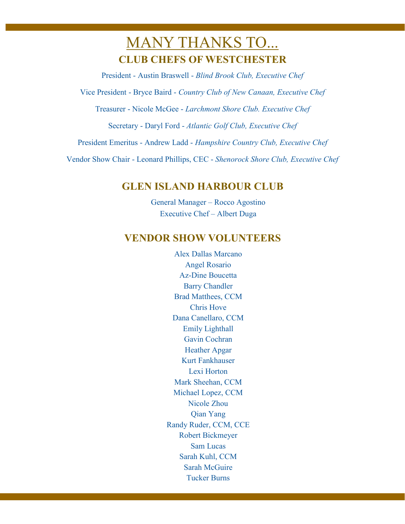# MANY THANKS TO... **CLUB CHEFS OF WESTCHESTER**

President - Austin Braswell - *Blind Brook Club, Executive Chef* 

Vice President - Bryce Baird - *Country Club of New Canaan, Executive Chef* 

Treasurer - Nicole McGee - *Larchmont Shore Club. Executive Chef* 

Secretary - Daryl Ford - *Atlantic Golf Club, Executive Chef* 

President Emeritus - Andrew Ladd - *Hampshire Country Club, Executive Chef* 

Vendor Show Chair - Leonard Phillips, CEC - *Shenorock Shore Club, Executive Chef*

# **GLEN ISLAND HARBOUR CLUB**

General Manager – Rocco Agostino Executive Chef – Albert Duga

# **VENDOR SHOW VOLUNTEERS**

Alex Dallas Marcano Angel Rosario Az-Dine Boucetta Barry Chandler Brad Matthees, CCM Chris Hove Dana Canellaro, CCM Emily Lighthall Gavin Cochran Heather Apgar Kurt Fankhauser Lexi Horton Mark Sheehan, CCM Michael Lopez, CCM Nicole Zhou Qian Yang Randy Ruder, CCM, CCE Robert Bickmeyer Sam Lucas Sarah Kuhl, CCM Sarah McGuire Tucker Burns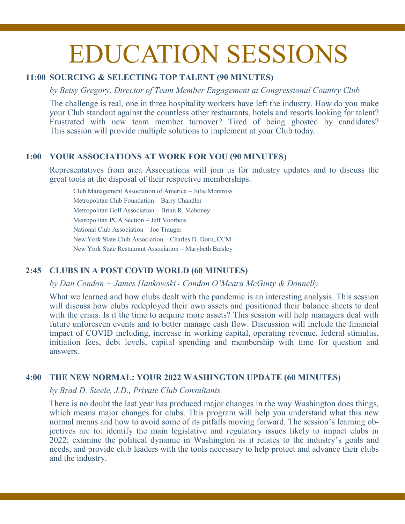# EDUCATION SESSIONS

# **11:00 SOURCING & SELECTING TOP TALENT (90 MINUTES)**

*by Betsy Gregory, Director of Team Member Engagement at Congressional Country Club*

The challenge is real, one in three hospitality workers have left the industry. How do you make your Club standout against the countless other restaurants, hotels and resorts looking for talent? Frustrated with new team member turnover? Tired of being ghosted by candidates? This session will provide multiple solutions to implement at your Club today.

# **1:00 YOUR ASSOCIATIONS AT WORK FOR YOU (90 MINUTES)**

Representatives from area Associations will join us for industry updates and to discuss the great tools at the disposal of their respective memberships.

Club Management Association of America – Julie Montross Metropolitan Club Foundation – Barry Chandler Metropolitan Golf Association – Brian R. Mahoney Metropolitan PGA Section – Jeff Voorheis National Club Association – Joe Trauger New York State Club Association – Charles D. Dorn, CCM New York State Restaurant Association – Marybeth Baisley

# **2:45 CLUBS IN A POST COVID WORLD (60 MINUTES)**

*by Dan Condon + James Hankowski* - *Condon O'Meara McGinty & Donnelly*

What we learned and how clubs dealt with the pandemic is an interesting analysis. This session will discuss how clubs redeployed their own assets and positioned their balance sheets to deal with the crisis. Is it the time to acquire more assets? This session will help managers deal with future unforeseen events and to better manage cash flow. Discussion will include the financial impact of COVID including, increase in working capital, operating revenue, federal stimulus, initiation fees, debt levels, capital spending and membership with time for question and answers.

# **4:00 THE NEW NORMAL: YOUR 2022 WASHINGTON UPDATE (60 MINUTES)**

*by Brad D. Steele, J.D., Private Club Consultants*

There is no doubt the last year has produced major changes in the way Washington does things, which means major changes for clubs. This program will help you understand what this new normal means and how to avoid some of its pitfalls moving forward. The session's learning objectives are to: identify the main legislative and regulatory issues likely to impact clubs in 2022; examine the political dynamic in Washington as it relates to the industry's goals and needs, and provide club leaders with the tools necessary to help protect and advance their clubs and the industry.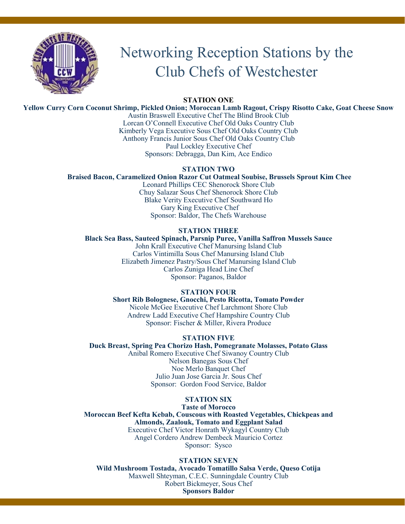

# Networking Reception Stations by the Club Chefs of Westchester

**STATION ONE**

**Yellow Curry Corn Coconut Shrimp, Pickled Onion; Moroccan Lamb Ragout, Crispy Risotto Cake, Goat Cheese Snow** 

Austin Braswell Executive Chef The Blind Brook Club Lorcan O'Connell Executive Chef Old Oaks Country Club Kimberly Vega Executive Sous Chef Old Oaks Country Club Anthony Francis Junior Sous Chef Old Oaks Country Club Paul Lockley Executive Chef Sponsors: Debragga, Dan Kim, Ace Endico

# **STATION TWO**

# **Braised Bacon, Caramelized Onion Razor Cut Oatmeal Soubise, Brussels Sprout Kim Chee**

Leonard Phillips CEC Shenorock Shore Club Chuy Salazar Sous Chef Shenorock Shore Club Blake Verity Executive Chef Southward Ho Gary King Executive Chef Sponsor: Baldor, The Chefs Warehouse

# **STATION THREE**

**Black Sea Bass, Sauteed Spinach, Parsnip Puree, Vanilla Saffron Mussels Sauce** John Krall Executive Chef Manursing Island Club Carlos Vintimilla Sous Chef Manursing Island Club Elizabeth Jimenez Pastry/Sous Chef Manursing Island Club Carlos Zuniga Head Line Chef Sponsor: Paganos, Baldor

# **STATION FOUR**

**Short Rib Bolognese, Gnocchi, Pesto Ricotta, Tomato Powder** Nicole McGee Executive Chef Larchmont Shore Club Andrew Ladd Executive Chef Hampshire Country Club Sponsor: Fischer & Miller, Rivera Produce

# **STATION FIVE**

**Duck Breast, Spring Pea Chorizo Hash, Pomegranate Molasses, Potato Glass** Anibal Romero Executive Chef Siwanoy Country Club Nelson Banegas Sous Chef Noe Merlo Banquet Chef Julio Juan Jose Garcia Jr. Sous Chef Sponsor: Gordon Food Service, Baldor

# **STATION SIX**

**Taste of Morocco Moroccan Beef Kefta Kebab, Couscous with Roasted Vegetables, Chickpeas and Almonds, Zaalouk, Tomato and Eggplant Salad** Executive Chef Victor Honrath Wykagyl Country Club Angel Cordero Andrew Dembeck Mauricio Cortez Sponsor: Sysco

# **STATION SEVEN**

**Wild Mushroom Tostada, Avocado Tomatillo Salsa Verde, Queso Cotija** Maxwell Shteyman, C.E.C. Sunningdale Country Club Robert Bickmeyer, Sous Chef **Sponsors Baldor**